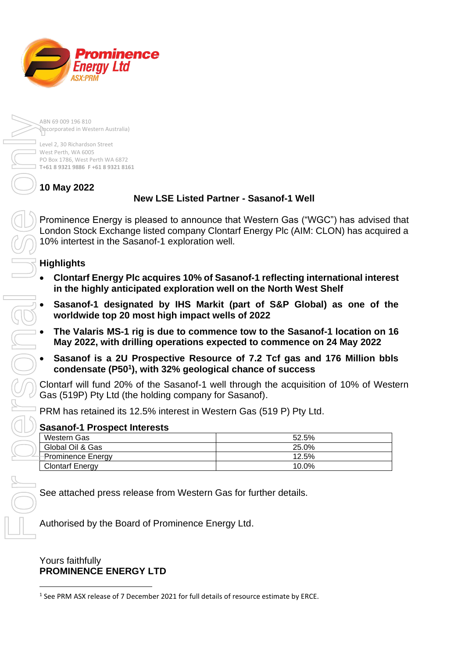Prominence Enerav Ltd **SX:PRM** 

> ABN 69 009 196 810 (Incorporated in Western Australia)

Level 2, 30 Richardson Street West Perth, WA 6005 PO Box 1786, West Perth WA 6872 **T+61 8 9321 9886 F +61 8 9321 8161**

**10 May 2022**

# **New LSE Listed Partner - Sasanof-1 Well**

Prominence Energy is pleased to announce that Western Gas ("WGC") has advised that London Stock Exchange listed company Clontarf Energy Plc (AIM: CLON) has acquired a 10% intertest in the Sasanof-1 exploration well.

# **Highlights**

- **Clontarf Energy Plc acquires 10% of Sasanof-1 reflecting international interest in the highly anticipated exploration well on the North West Shelf**
- **Sasanof-1 designated by IHS Markit (part of S&P Global) as one of the worldwide top 20 most high impact wells of 2022**
- **The Valaris MS-1 rig is due to commence tow to the Sasanof-1 location on 16 May 2022, with drilling operations expected to commence on 24 May 2022**
- **Sasanof is a 2U Prospective Resource of 7.2 Tcf gas and 176 Million bbls condensate (P50<sup>1</sup> ), with 32% geological chance of success**

Clontarf will fund 20% of the Sasanof-1 well through the acquisition of 10% of Western Gas (519P) Pty Ltd (the holding company for Sasanof).

PRM has retained its 12.5% interest in Western Gas (519 P) Pty Ltd.

## **Sasanof-1 Prospect Interests**

| Western Gas            | 52.5% |
|------------------------|-------|
| Global Oil & Gas       | 25.0% |
| -Prominence Energy     | 12.5% |
| <b>Clontarf Energy</b> | 10.0% |
|                        |       |

See attached press release from Western Gas for further details.

Authorised by the Board of Prominence Energy Ltd.

Yours faithfully **PROMINENCE ENERGY LTD**

<sup>&</sup>lt;sup>1</sup> See PRM ASX release of 7 December 2021 for full details of resource estimate by ERCE.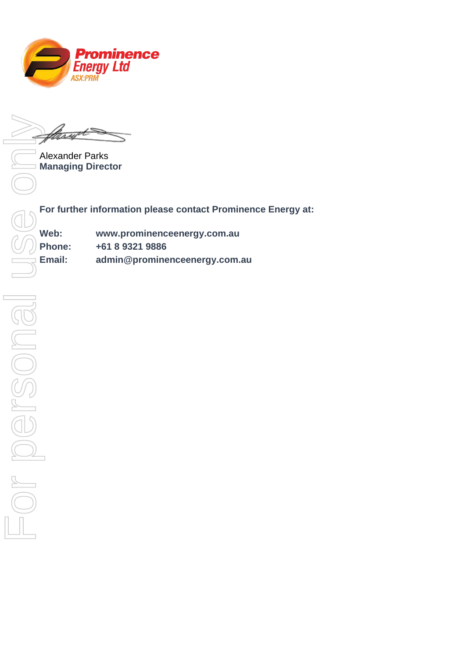

Alexander Parks **Managing Director**

**For further information please contact Prominence Energy at:** 

| Web:          | www.prominenceenergy.com.au   |
|---------------|-------------------------------|
| <b>Phone:</b> | +61 8 9321 9886               |
| Email:        | admin@prominenceenergy.com.au |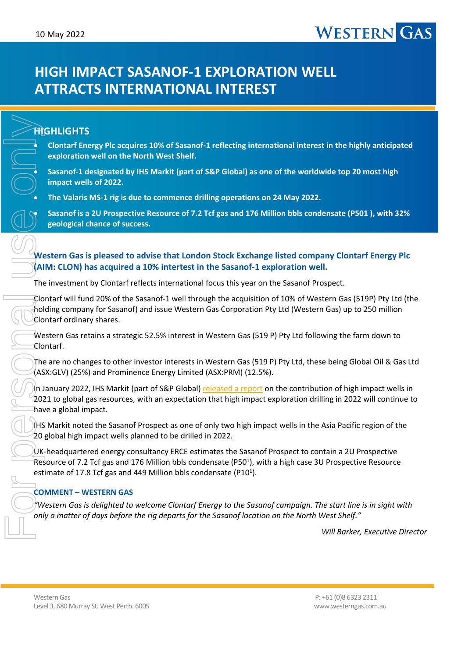# **HIGH IMPACT SASANOF-1 EXPLORATION WELL ATTRACTS INTERNATIONAL INTEREST**

## **HIGHLIGHTS**

• **Clontarf Energy Plc acquires 10% of Sasanof-1 reflecting international interest in the highly anticipated exploration well on the North West Shelf.**

• **Sasanof-1 designated by IHS Markit (part of S&P Global) as one of the worldwide top 20 most high impact wells of 2022.**

• **The Valaris MS-1 rig is due to commence drilling operations on 24 May 2022.**

• **Sasanof is a 2U Prospective Resource of 7.2 Tcf gas and 176 Million bbls condensate (P501 ), with 32% geological chance of success.**

### **Western Gas is pleased to advise that London Stock Exchange listed company Clontarf Energy Plc (AIM: CLON) has acquired a 10% intertest in the Sasanof-1 exploration well.**

The investment by Clontarf reflects international focus this year on the Sasanof Prospect.

Clontarf will fund 20% of the Sasanof-1 well through the acquisition of 10% of Western Gas (519P) Pty Ltd (the holding company for Sasanof) and issue Western Gas Corporation Pty Ltd (Western Gas) up to 250 million Clontarf ordinary shares.

Western Gas retains a strategic 52.5% interest in Western Gas (519 P) Pty Ltd following the farm down to Clontarf.

The are no changes to other investor interests in Western Gas (519 P) Pty Ltd, these being Global Oil & Gas Ltd (ASX:GLV) (25%) and Prominence Energy Limited (ASX:PRM) (12.5%).

In January 2022, IHS Markit (part of S&P Global) released a report on the contribution of high impact wells in 2021 to global gas resources, with an expectation that high impact exploration drilling in 2022 will continue to have a global impact.

IHS Markit noted the Sasanof Prospect as one of only two high impact wells in the Asia Pacific region of the 20 global high impact wells planned to be drilled in 2022.

UK-headquartered energy consultancy ERCE estimates the Sasanof Prospect to contain a 2U Prospective Resource of 7.2 Tcf gas and 176 Million bbls condensate (P501), with a high case 3U Prospective Resource estimate of 17.8 Tcf gas and 449 Million bbls condensate (P10<sup>1</sup>).

#### **COMMENT – WESTERN GAS**

*"Western Gas is delighted to welcome Clontarf Energy to the Sasanof campaign. The start line is in sight with* 

*Will Barker, Executive Director*